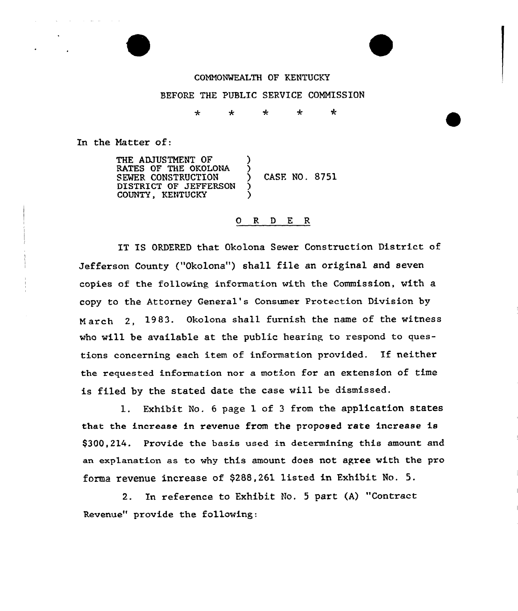#### COMMONWEALTH OF KENTUCKY

#### BEFORE THE PUBLIC SERVICE COMMISSION

\* \* <sup>+</sup> \* ∗

In the Natter of:

THE ADJUSTMENT OF RATES OF THE OKOLONA SEWER CONSTRUCTION ) CASE NO. 8751 DISTRICT OF JEFFERSON COUNTY, KENTUCKY

#### 0 R <sup>D</sup> E R

IT IS ORDERED that Okolona Sewer Construction District of Jefferson County ("Okolona") shall file an original and seven copies of the following information with the Commission, with a copy to the Attorney General's Consumer Protection Division by March 2, 1983. Okolona shall furnish the name of the witness who will be available at the public hearing to respond to questions concerning each item of information provided. If neither the requested information nox a motion for an extension of time is filed by the stated date the case will be dismissed.

l. Exhibit No. <sup>6</sup> page <sup>1</sup> of <sup>3</sup> from the application states that the increase in revenue from the proposed rate increase is \$300,214. Provide the basis used in determining this amount and an explanation as to why this amount does not agree with the pro forma revenue increase of \$288,261 listed in Exhibit No. 5.

2. In reference to Exhibit No. <sup>5</sup> part (A) "Contract Revenue" provide the following: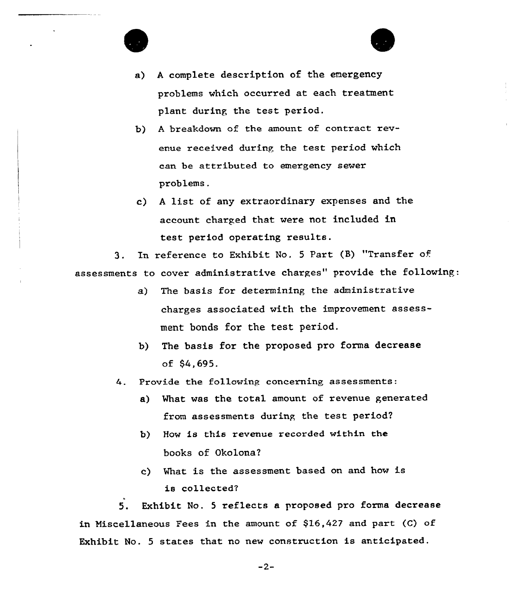

- a) <sup>A</sup> complete description of the emergency problems which occurred at each treatment plant during the test period.
- b} <sup>A</sup> breakdown of the amount of contract revenue received during the test period which can be attributed to emergency sewer problems.
- c) <sup>A</sup> list of any extraordinary expenses and the account charged that were not included in test period operating results.

3. In reference to Exhibit No. 5 Part (B) "Transfer of assessments to cover administrative charges" provide the following:

- a) The basis for determining the administrative charges associated with the improvement assessment bonds for the test period.
- b) The basis for the proposed pro forma decrease of \$4,695.

4. Provide the following concerning assessments:

- a) What was the total amount of revenue generated from assessments during the test period?
- b) How is this revenue recorded within the books of Okolona2
- c) What is the assessment based on and how is is collected'.

Exhibit No. <sup>5</sup> reflects a proposed pro forma decrease  $5.$ in Miscellaneous Fees in the amount of \$16,427 and part (C) of Exhibit No. <sup>5</sup> states that no new construction is anticipated.

 $-2-$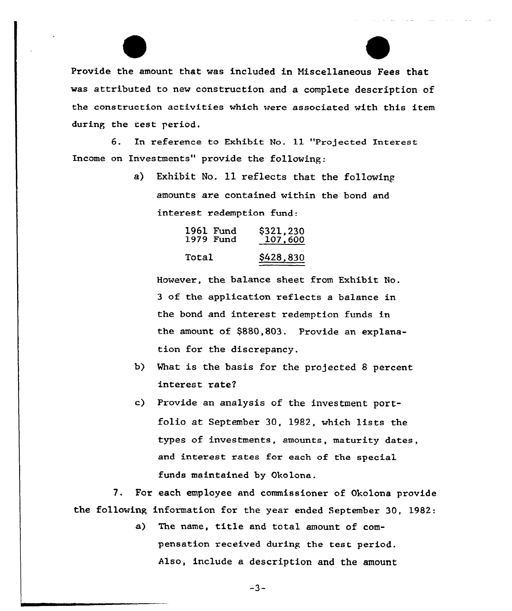Provide the amount that was included in Miscellaneous Fees that was attributed to new construction and a complete description of the construction activities which were associated with this item during the test period.

6. In reference to Exhibit No. 11 "Projected Interest Income on Investments" provide the following:

> a) Exhibit No. 11 reflects that the following amounts are contained within the bond and interest redemption fund:

| 1961 Fund | \$321,230 |
|-----------|-----------|
| 1979 Fund | 107,600   |
| Total     | \$428,830 |

However, the balance sheet from Exhibit No. <sup>3</sup> of the application reflects a balance in the bond and interest redemption funds in the amount of \$880,803. Provide an explanation for the discrepancy.

- b) What is the basis for the projected 8 percent interest rate2
- c) Provide an analysis of the investment portfolio at September 30, 1982, which lists the types of investments, amounts, maturity dates, and interest rates for each of the special funds maintained by Okolona.

7. For each employee and commissioner of Okolona provide the following information for the year ended September 30, 1982:

> a) The name, title and total amount of compensation received during the test period. Also, include a description and the amount

> > $-3-$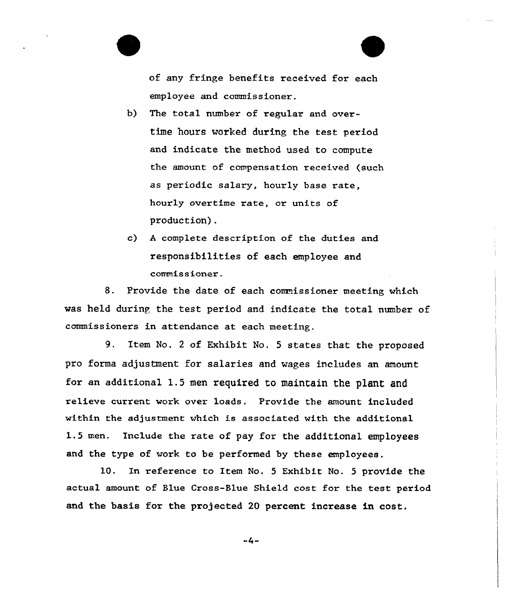of any fringe benefits received for each employee and commissioner.

- b) The total number of regular and overtime hours worked during the test period and indicate the method used to compute the amount of compensation received (such as periodic salary, hourly base rate, hourly overtime rate, or units of production).
- c) <sup>A</sup> complete description of the duties and responsibilities of each employee and commissioner.

8. Provide the date of each commissioner meeting which was held during the test period and indicate the total number of commissioners in attendance at each meeting.

9. Item No. <sup>2</sup> of Exhibit No. <sup>5</sup> states that the proposed pro forma adjustment for salaries and wages includes an amount for an additional 1.5 men required to maintain the plant and relieve current work over loads. Provide the amount included within the adjustment which is associated with the additional 1.5 men. Include the rate of pay for the additional employees and the type of work to be performed by these employees.

10. In reference to Item No. <sup>5</sup> Exhibit No. <sup>5</sup> provide the actual amount of Blue Cross-Blue Shield cost for the test period and the basis for the projected 20 percent increase in cost.

 $-4-$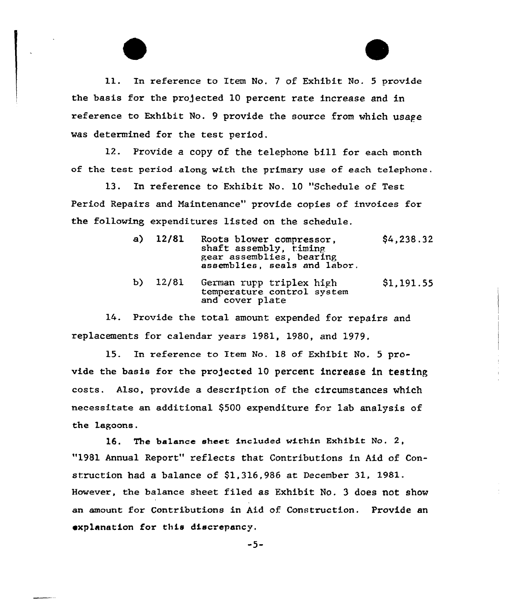11. In reference to Item No. 7 of Exhibit No. 5 provide the basis for the projected 10 percent rate increase and in reference to Exhibit No. 9 provide the source from which usage was determined for the test period.

12. Provide a copy of the telephone bill for each month of the test period.along with the primary use of each telephone.

13. En reference to Exhibit No. 10 "Schedule of Test Period Repairs and Maintenance" provide copies of invoices for the following, expenditures listed on the schedule.

- a) 12/81 Roots blower compressor,<br>shaft assembly, timing pear assemblies, bearing assemblies, seals and labor. \$4,238.32
- b) 12/81 German rupp triplex high temperature control system and cover plate \$1,191.55

14. Provide the total amount expended for repairs and replacements for calendar years 1981, 1980, and 1979.

15. In reference to Item No. 18 of Exhibit No. 5 provide the basis for the projected 10 percent increase in testing costs. Also, provide a description of the circumstances which necessitate an additional \$500 expenditure for lab analysis of the Lagoons.

16. The balance sheet included within Exhibit No. 2, "1981 Annual Report" reflects that Contributions in Aid of Construction had a balance of \$1,316,986 at December 31, 1981. However, the balance sheet filed as Exhibit No. 3 does not show an amount for Contributions in Aid of Construction. Provide an explanation for this discrepancy.

-5-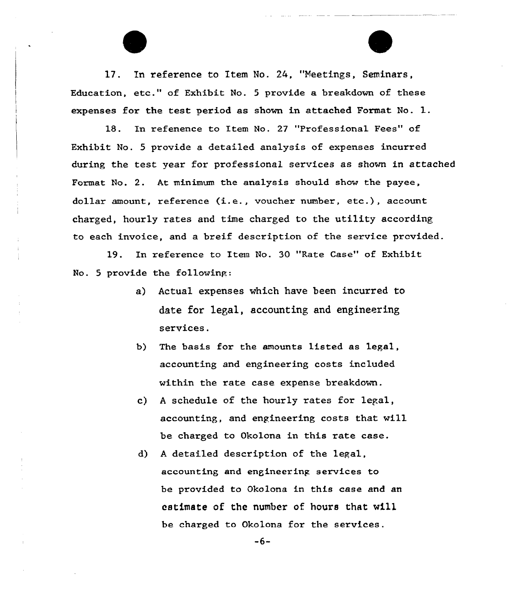17. In reference to Item No. 24, "Meetings, Seminars, Education, etc." of Exhibit No. <sup>5</sup> provide a breakdown of these expenses for the test period as shown in attached Format No. l.

18. In refenence to Item No. 27 "Professional Fees" of Exhibit No. 5 provide a detailed analysis of expenses incurred during the test year for professional services as shown in attached Format No. 2. At minimum the analysis should show the payee, dollar amount, reference (i.e., voucher number, etc.), account charged, hourly rates and time charged to the utility according to each invoice, and a breif description of the service provided.

19. In reference to Item No. 30 "Rate Case" of Exhibit No. 5 provide the followinp:

- a) Actual expenses which have been incurred to date for 1ega1, accounting and engineering services.
- b) The basis for the amounts listed as legal, accounting and engineering costs included within the rate case expense breakdown.
- c) <sup>A</sup> schedule of the hourly rates for legal, accounting, and engineering costs that will be charged to Okolona in this rate case.
- d) <sup>A</sup> detailed description of the legal, accounting and engineering services to be provided to Okolona in this case and an estimate of the number of. hours that wi11 be charged to Okolona for the services.

-6-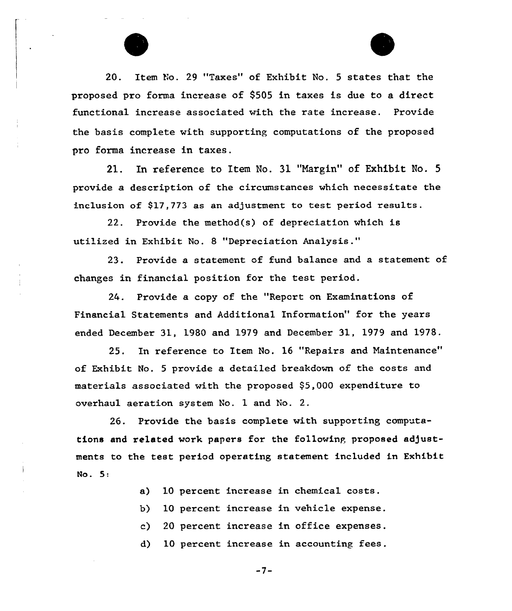



20. Item No. 29 "Taxes" of Exhibit No. 5 states that the proposed pro forma increase of 9505 in taxes is due to a direct functional increase associated with the rate increase. Provide the basis complete with supporting computations of the proposed pro forma increase in taxes.

21. In reference to Item No. 31 "Margin" of Exhibit No. 5 provide a description of the circumstances which necessitate the inclusion of \$17,773 as an adjustment to test period results.

22. Provide the method(s) of depreciation which is utilized in Exhibit No. 8 "Depreciation Analysis."

23. Provide a statement of fund balance and a statement of changes in financial position for the test period.

24. Provide a copy of the "Report on Examinations of Financial Statements and Additional Information" for the years ended December 31, 1980 and 1979 and December 31, 1979 and 1978.

25. In reference to Item No. 16 "Repairs and Maintenance" of Exhibit No. <sup>5</sup> provide a detailed breakdown of the costs and materials associated with the proposed \$5,000 expenditure to overhaul aeration system No. 1 and No. 2.

26. Provide the basis complete with supporting computations and related work papers for the following proposed adjustments to the test period operating statement included in Exhibit No. 5:

- a) 10 percent increase in chemical costs.
- b) 10 percent increase in vehicle expense.
- c) 20 percent increase in office expenses.
- d) 10 percent increase in accounting fees.

-7-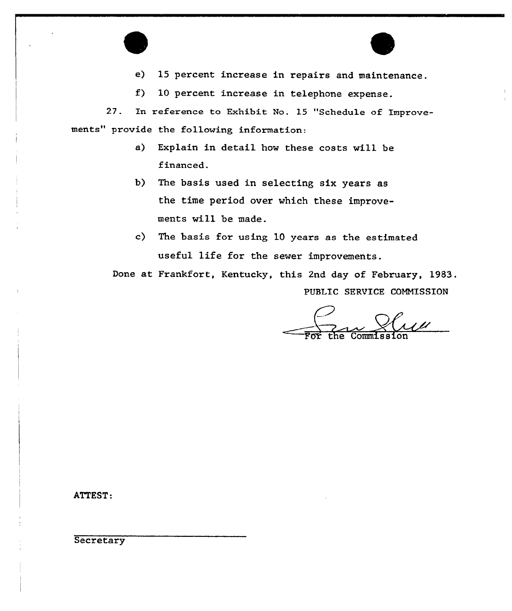

f) 10 percent increase in telephone expense.

27. In reference to Exhibit No. 15 "Schedule of Improvements" provide the following information:

- a) Explain in detail how these costs will be financed.
- b) The basis used in selecting six years as the time period over which these improvements will be made.

c) The basis for using 10 years as the estimated useful life for the sewer improvements.

Done at Frankfort, Kentucky, this 2nd day of February, 1983, PUBLIC SERVICE COMMISSION

For the Commission

ATTEST:

**Secretary**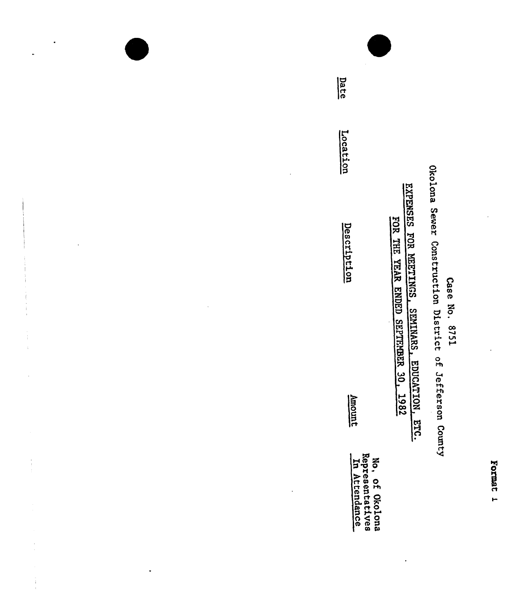## Case No. 8751

Okolona Sewer Construction District of Jefferson County

EXPENSES FOR MEETINGS, SEMINARS, EDUCATION, ETC.

FOR THE YEAR ENDED SEPTEMBER 30, 1982

No, of Okolona<br>Representatives<br>In Attendance

Date

 $\cdot$ 

 $\ddot{\phantom{0}}$ 

 $\begin{array}{c} \star \star \\ \star \\ \star \\ \star \end{array}$ 

 $\frac{1}{2}$ 

l,

Amount

Location

Description